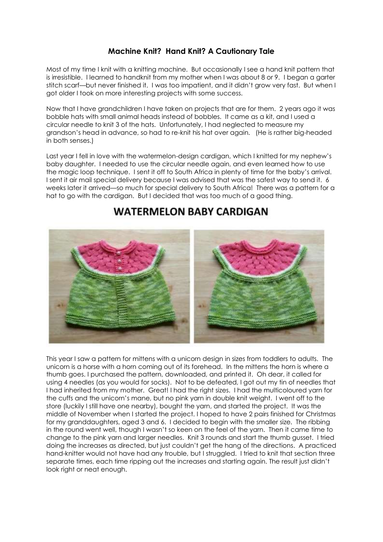## **Machine Knit? Hand Knit? A Cautionary Tale**

Most of my time I knit with a knitting machine. But occasionally I see a hand knit pattern that is irresistible. I learned to handknit from my mother when I was about 8 or 9. I began a garter stitch scarf—but never finished it. I was too impatient, and it didn't grow very fast. But when I got older I took on more interesting projects with some success.

Now that I have grandchildren I have taken on projects that are for them. 2 years ago it was bobble hats with small animal heads instead of bobbles. It came as a kit, and I used a circular needle to knit 3 of the hats. Unfortunately, I had neglected to measure my grandson's head in advance, so had to re-knit his hat over again. (He is rather big-headed in both senses.)

Last year I fell in love with the watermelon-design cardigan, which I knitted for my nephew's baby daughter. I needed to use the circular needle again, and even learned how to use the magic loop technique. I sent it off to South Africa in plenty of time for the baby's arrival. I sent it air mail special delivery because I was advised that was the safest way to send it. 6 weeks later it arrived—so much for special delivery to South Africa! There was a pattern for a hat to go with the cardigan. But I decided that was too much of a good thing.

## **WATERMELON BABY CARDIGAN**



This year I saw a pattern for mittens with a unicorn design in sizes from toddlers to adults. The unicorn is a horse with a horn coming out of its forehead. In the mittens the horn is where a thumb goes. I purchased the pattern, downloaded, and printed it. Oh dear, it called for using 4 needles (as you would for socks). Not to be defeated, I got out my tin of needles that I had inherited from my mother. Great! I had the right sizes. I had the multicoloured yarn for the cuffs and the unicorn's mane, but no pink yarn in double knit weight. I went off to the store (luckily I still have one nearby), bought the yarn, and started the project. It was the middle of November when I started the project. I hoped to have 2 pairs finished for Christmas for my granddaughters, aged 3 and 6. I decided to begin with the smaller size. The ribbing in the round went well, though I wasn't so keen on the feel of the yarn. Then it came time to change to the pink yarn and larger needles. Knit 3 rounds and start the thumb gusset. I tried doing the increases as directed, but just couldn't get the hang of the directions. A practiced hand-knitter would not have had any trouble, but I struggled. I tried to knit that section three separate times, each time ripping out the increases and starting again. The result just didn't look right or neat enough.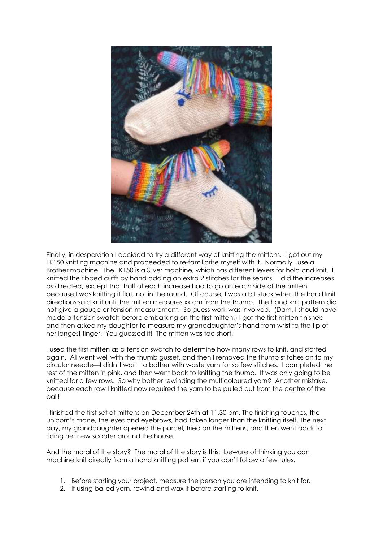

Finally, in desperation I decided to try a different way of knitting the mittens. I got out my LK150 knitting machine and proceeded to re-familiarise myself with it. Normally I use a Brother machine. The LK150 is a Silver machine, which has different levers for hold and knit. I knitted the ribbed cuffs by hand adding an extra 2 stitches for the seams. I did the increases as directed, except that half of each increase had to go on each side of the mitten because I was knitting it flat, not in the round. Of course, I was a bit stuck when the hand knit directions said knit until the mitten measures xx cm from the thumb. The hand knit pattern did not give a gauge or tension measurement. So guess work was involved. (Darn, I should have made a tension swatch before embarking on the first mitten!) I got the first mitten finished and then asked my daughter to measure my granddaughter's hand from wrist to the tip of her longest finger. You guessed it! The mitten was too short.

I used the first mitten as a tension swatch to determine how many rows to knit, and started again. All went well with the thumb gusset, and then I removed the thumb stitches on to my circular needle—I didn't want to bother with waste yarn for so few stitches. I completed the rest of the mitten in pink, and then went back to knitting the thumb. It was only going to be knitted for a few rows. So why bother rewinding the multicoloured yarn? Another mistake, because each row I knitted now required the yarn to be pulled out from the centre of the ball!

I finished the first set of mittens on December 24th at 11.30 pm. The finishing touches, the unicorn's mane, the eyes and eyebrows, had taken longer than the knitting itself. The next day, my granddaughter opened the parcel, tried on the mittens, and then went back to riding her new scooter around the house.

And the moral of the story? The moral of the story is this: beware of thinking you can machine knit directly from a hand knitting pattern if you don't follow a few rules.

- 1. Before starting your project, measure the person you are intending to knit for.
- 2. If using balled yarn, rewind and wax it before starting to knit.